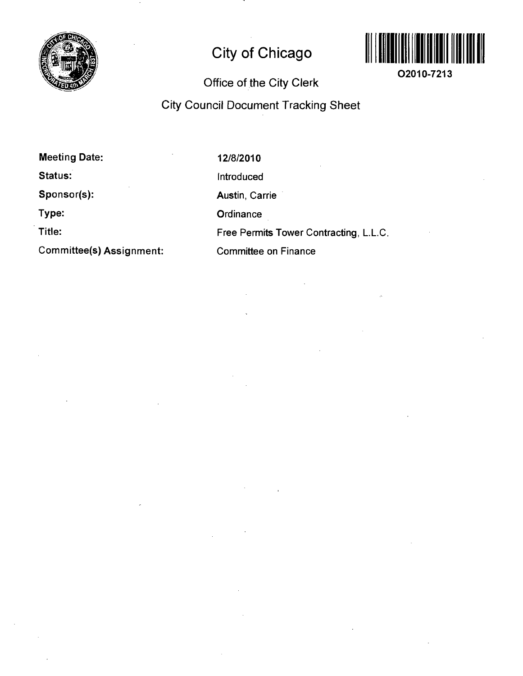

## **City of Chicago**



**O2010-7213** 

## **Office of the City Clerk**

**City Council Document Tracking Sheet** 

**Meeting Date: Status: Sponsor(s): Type: Title:** 

**Committee(s) Assignment:** 

12/8/2010 Introduced Austin, Carrie **Ordinance** Free Permits Tower Contracting, L.L.C. Committee on Finance